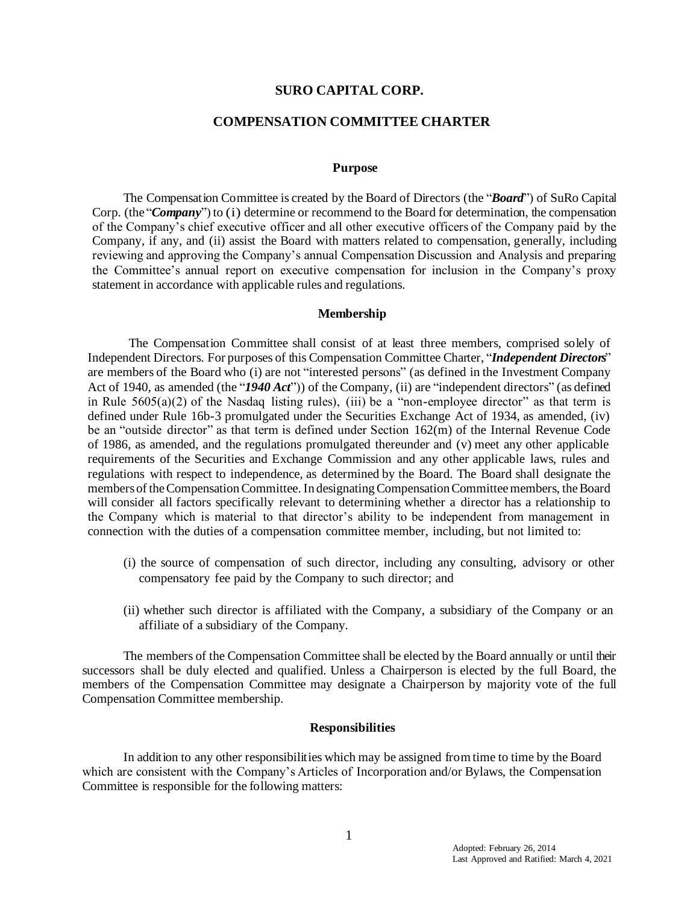#### **SURO CAPITAL CORP.**

## **COMPENSATION COMMITTEE CHARTER**

#### **Purpose**

The Compensation Committee is created by the Board of Directors (the "*Board*") of SuRo Capital Corp. (the "*Company*") to (i) determine or recommend to the Board for determination, the compensation of the Company's chief executive officer and all other executive officers of the Company paid by the Company, if any, and (ii) assist the Board with matters related to compensation, generally, including reviewing and approving the Company's annual Compensation Discussion and Analysis and preparing the Committee's annual report on executive compensation for inclusion in the Company's proxy statement in accordance with applicable rules and regulations.

#### **Membership**

The Compensation Committee shall consist of at least three members, comprised solely of Independent Directors. For purposes of this Compensation Committee Charter, "*Independent Directors*" are members of the Board who (i) are not "interested persons" (as defined in the Investment Company Act of 1940, as amended (the "*1940 Act*")) of the Company, (ii) are "independent directors" (as defined in Rule  $5605(a)(2)$  of the Nasdaq listing rules), (iii) be a "non-employee director" as that term is defined under Rule 16b-3 promulgated under the Securities Exchange Act of 1934, as amended, (iv) be an "outside director" as that term is defined under Section 162(m) of the Internal Revenue Code of 1986, as amended, and the regulations promulgated thereunder and (v) meet any other applicable requirements of the Securities and Exchange Commission and any other applicable laws, rules and regulations with respect to independence, as determined by the Board. The Board shall designate the members of theCompensation Committee. In designatingCompensation Committee members, the Board will consider all factors specifically relevant to determining whether a director has a relationship to the Company which is material to that director's ability to be independent from management in connection with the duties of a compensation committee member, including, but not limited to:

- (i) the source of compensation of such director, including any consulting, advisory or other compensatory fee paid by the Company to such director; and
- (ii) whether such director is affiliated with the Company, a subsidiary of the Company or an affiliate of a subsidiary of the Company.

The members of the Compensation Committee shall be elected by the Board annually or until their successors shall be duly elected and qualified. Unless a Chairperson is elected by the full Board, the members of the Compensation Committee may designate a Chairperson by majority vote of the full Compensation Committee membership.

### **Responsibilities**

In addition to any other responsibilities which may be assigned fromtime to time by the Board which are consistent with the Company's Articles of Incorporation and/or Bylaws, the Compensation Committee is responsible for the following matters: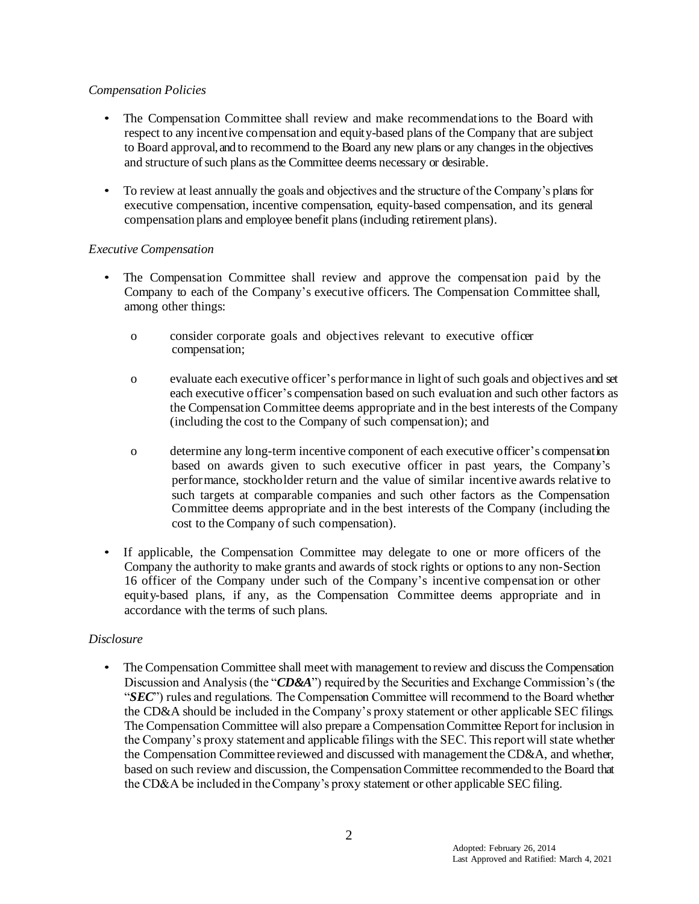## *Compensation Policies*

- The Compensation Committee shall review and make recommendations to the Board with respect to any incentive compensation and equity-based plans of the Company that are subject to Board approval, and to recommend to the Board any new plans or any changes in the objectives and structure of such plans as the Committee deems necessary or desirable.
- To review at least annually the goals and objectives and the structure of the Company's plans for executive compensation, incentive compensation, equity-based compensation, and its general compensation plans and employee benefit plans (including retirement plans).

# *Executive Compensation*

- The Compensation Committee shall review and approve the compensation paid by the Company to each of the Company's executive officers. The Compensation Committee shall, among other things:
	- o consider corporate goals and objectives relevant to executive officer compensation;
	- o evaluate each executive officer's performance in light of such goals and objectives and set each executive officer's compensation based on such evaluation and such other factors as the Compensation Committee deems appropriate and in the best interests of the Company (including the cost to the Company of such compensation); and
	- o determine any long-term incentive component of each executive officer's compensation based on awards given to such executive officer in past years, the Company's performance, stockholder return and the value of similar incentive awards relative to such targets at comparable companies and such other factors as the Compensation Committee deems appropriate and in the best interests of the Company (including the cost to the Company of such compensation).
- If applicable, the Compensation Committee may delegate to one or more officers of the Company the authority to make grants and awards of stock rights or options to any non-Section 16 officer of the Company under such of the Company's incentive compensation or other equity-based plans, if any, as the Compensation Committee deems appropriate and in accordance with the terms of such plans.

# *Disclosure*

• The Compensation Committee shall meet with management to review and discuss the Compensation Discussion and Analysis (the "*CD&A*") required by the Securities and Exchange Commission's (the "*SEC*") rules and regulations. The Compensation Committee will recommend to the Board whether the CD&A should be included in the Company's proxy statement or other applicable SEC filings. The Compensation Committee will also prepare a Compensation Committee Report for inclusion in the Company's proxy statement and applicable filings with the SEC. This report will state whether the Compensation Committee reviewed and discussed with management the CD&A, and whether, based on such review and discussion, the Compensation Committee recommended to the Board that the CD&A be included in the Company's proxy statement or other applicable SEC filing.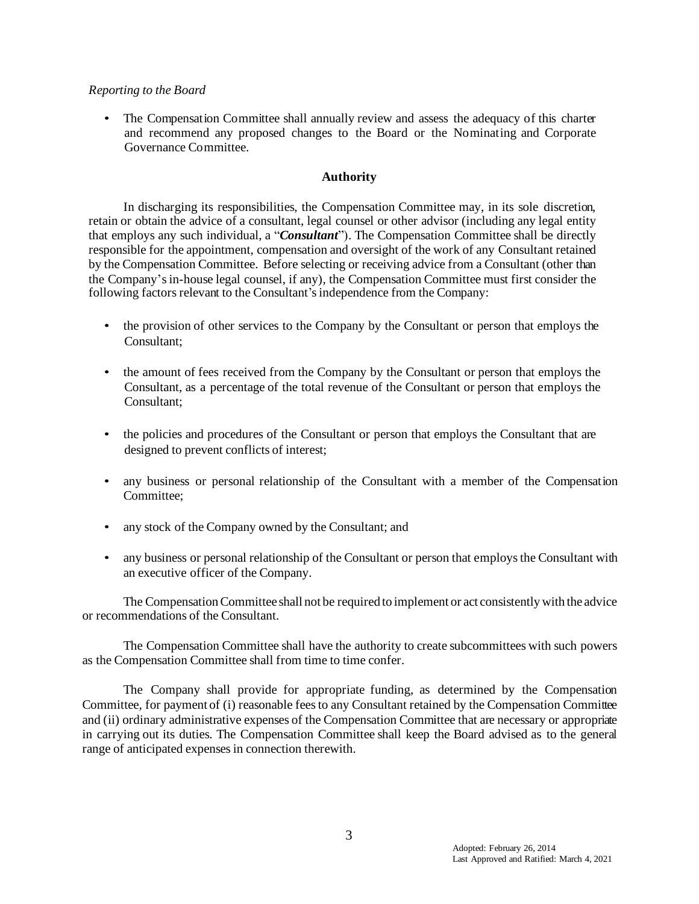### *Reporting to the Board*

• The Compensation Committee shall annually review and assess the adequacy of this charter and recommend any proposed changes to the Board or the Nominating and Corporate Governance Committee.

# **Authority**

In discharging its responsibilities, the Compensation Committee may, in its sole discretion, retain or obtain the advice of a consultant, legal counsel or other advisor (including any legal entity that employs any such individual, a "*Consultant*"). The Compensation Committee shall be directly responsible for the appointment, compensation and oversight of the work of any Consultant retained by the Compensation Committee. Before selecting or receiving advice from a Consultant (other than the Company'sin-house legal counsel, if any), the Compensation Committee must first consider the following factors relevant to the Consultant's independence from the Company:

- the provision of other services to the Company by the Consultant or person that employs the Consultant;
- the amount of fees received from the Company by the Consultant or person that employs the Consultant, as a percentage of the total revenue of the Consultant or person that employs the Consultant;
- the policies and procedures of the Consultant or person that employs the Consultant that are designed to prevent conflicts of interest;
- any business or personal relationship of the Consultant with a member of the Compensation Committee;
- any stock of the Company owned by the Consultant; and
- any business or personal relationship of the Consultant or person that employs the Consultant with an executive officer of the Company.

The Compensation Committee shall not be required to implement or act consistently with the advice or recommendations of the Consultant.

The Compensation Committee shall have the authority to create subcommittees with such powers as the Compensation Committee shall from time to time confer.

The Company shall provide for appropriate funding, as determined by the Compensation Committee, for payment of (i) reasonable fees to any Consultant retained by the Compensation Committee and (ii) ordinary administrative expenses of the Compensation Committee that are necessary or appropriate in carrying out its duties. The Compensation Committee shall keep the Board advised as to the general range of anticipated expenses in connection therewith.